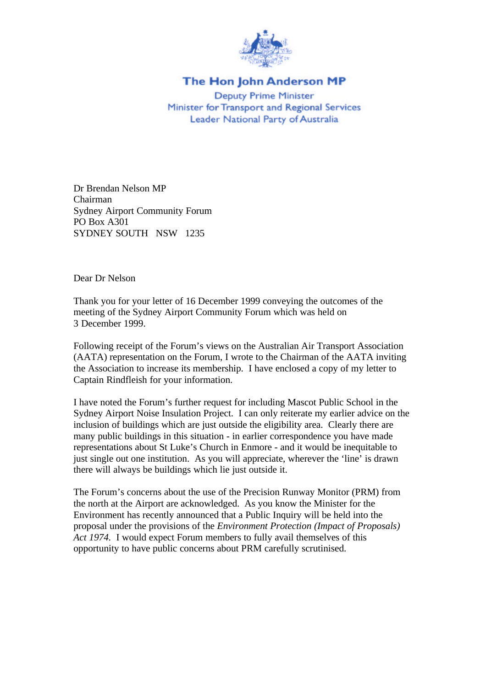

## The Hon John Anderson MP

**Deputy Prime Minister** Minister for Transport and Regional Services Leader National Party of Australia

Dr Brendan Nelson MP Chairman Sydney Airport Community Forum PO Box A301 SYDNEY SOUTH NSW 1235

Dear Dr Nelson

Thank you for your letter of 16 December 1999 conveying the outcomes of the meeting of the Sydney Airport Community Forum which was held on 3 December 1999.

Following receipt of the Forum's views on the Australian Air Transport Association (AATA) representation on the Forum, I wrote to the Chairman of the AATA inviting the Association to increase its membership. I have enclosed a copy of my letter to Captain Rindfleish for your information.

I have noted the Forum's further request for including Mascot Public School in the Sydney Airport Noise Insulation Project. I can only reiterate my earlier advice on the inclusion of buildings which are just outside the eligibility area. Clearly there are many public buildings in this situation - in earlier correspondence you have made representations about St Luke's Church in Enmore - and it would be inequitable to just single out one institution. As you will appreciate, wherever the 'line' is drawn there will always be buildings which lie just outside it.

The Forum's concerns about the use of the Precision Runway Monitor (PRM) from the north at the Airport are acknowledged. As you know the Minister for the Environment has recently announced that a Public Inquiry will be held into the proposal under the provisions of the *Environment Protection (Impact of Proposals) Act 1974.* I would expect Forum members to fully avail themselves of this opportunity to have public concerns about PRM carefully scrutinised.